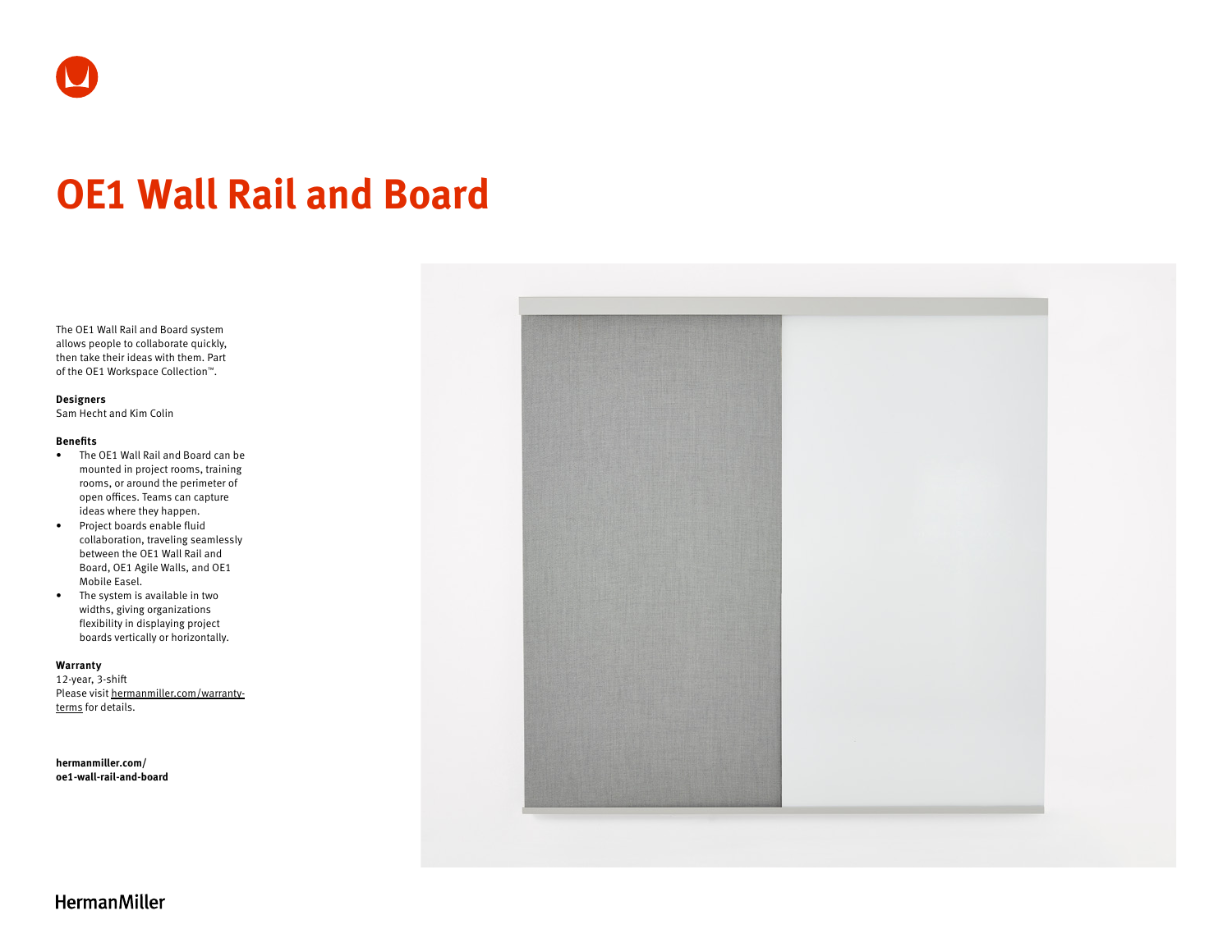# **OE1 Wall Rail and Board**

The OE1 Wall Rail and Board system allows people to collaborate quickly, then take their ideas with them. Part of the OE1 Workspace Collection™.

## **Designers**

Sam Hecht and Kim Colin

#### **Benefits**

- The OE1 Wall Rail and Board can be mounted in project rooms, training rooms, or around the perimeter of open offices. Teams can capture ideas where they happen.
- Project boards enable fluid collaboration, traveling seamlessly between the OE1 Wall Rail and Board, OE1 Agile Walls, and OE1 Mobile Easel.
- The system is available in two widths, giving organizations flexibility in displaying project boards vertically or horizontally.

#### **Warranty**

12-year, 3-shift Please visit [hermanmiller.com/warranty](https://hermanmiller.com/warranty-terms)[terms](https://hermanmiller.com/warranty-terms) for details.

**[hermanmiller.com/](https://hermanmiller.com/oe1-wall-rail-and-board) [oe1-w](https://hermanmiller.com/oe1-wall-rail-and-board)all-rail-and-board**